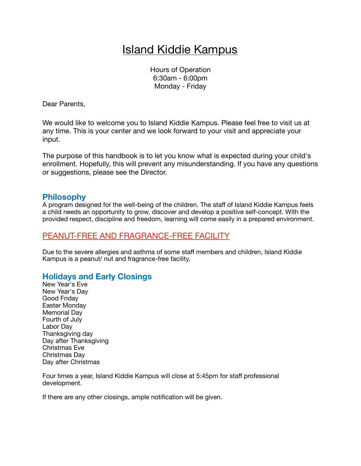# Island Kiddie Kampus

Hours of Operation 6:30am - 6:00pm Monday - Friday

Dear Parents,

We would like to welcome you to Island Kiddie Kampus. Please feel free to visit us at any time. This is your center and we look forward to your visit and appreciate your input.

The purpose of this handbook is to let you know what is expected during your child's enrollment. Hopefully, this will prevent any misunderstanding. If you have any questions or suggestions, please see the Director.

# **Philosophy**

A program designed for the well-being of the children. The staff of Island Kiddie Kampus feels a child needs an opportunity to grow, discover and develop a positive self-concept. With the provided respect, discipline and freedom, learning will come easily in a prepared environment.

# PEANUT-FREE AND FRAGRANCE-FREE FACILITY

Due to the severe allergies and asthma of some staff members and children, Island Kiddie Kampus is a peanut/ nut and fragrance-free facility.

# **Holidays and Early Closings**

New Year's Eve New Year's Day Good Friday Easter Monday Memorial Day Fourth of July Labor Day Thanksgiving day Day after Thanksgiving Christmas Eve Christmas Day Day after Christmas

Four times a year, Island Kiddie Kampus will close at 5:45pm for staff professional development.

If there are any other closings, ample notification will be given.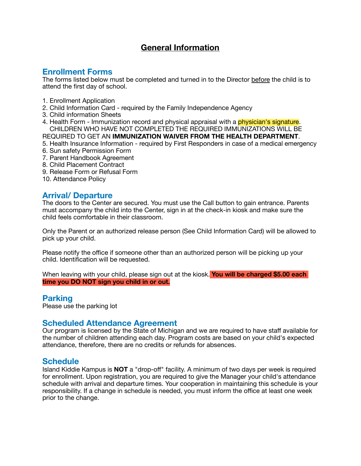# **General Information**

# **Enrollment Forms**

The forms listed below must be completed and turned in to the Director before the child is to attend the first day of school.

- 1. Enrollment Application
- 2. Child Information Card required by the Family Independence Agency
- 3. Child information Sheets
- 4. Health Form Immunization record and physical appraisal with a **physician's signature**. CHILDREN WHO HAVE NOT COMPLETED THE REQUIRED IMMUNIZATIONS WILL BE

REQUIRED TO GET AN **IMMUNIZATION WAIVER FROM THE HEALTH DEPARTMENT**.

- 5. Health Insurance Information required by First Responders in case of a medical emergency
- 6. Sun safety Permission Form
- 7. Parent Handbook Agreement
- 8. Child Placement Contract
- 9. Release Form or Refusal Form
- 10. Attendance Policy

## **Arrival/ Departure**

The doors to the Center are secured. You must use the Call button to gain entrance. Parents must accompany the child into the Center, sign in at the check-in kiosk and make sure the child feels comfortable in their classroom.

Only the Parent or an authorized release person (See Child Information Card) will be allowed to pick up your child.

Please notify the office if someone other than an authorized person will be picking up your child. Identification will be requested.

When leaving with your child, please sign out at the kiosk. **You will be charged \$5.00 each time you DO NOT sign you child in or out.**

### **Parking**

Please use the parking lot

# **Scheduled Attendance Agreement**

Our program is licensed by the State of Michigan and we are required to have staff available for the number of children attending each day. Program costs are based on your child's expected attendance, therefore, there are no credits or refunds for absences.

# **Schedule**

Island Kiddie Kampus is **NOT** a "drop-off" facility. A minimum of two days per week is required for enrollment. Upon registration, you are required to give the Manager your child's attendance schedule with arrival and departure times. Your cooperation in maintaining this schedule is your responsibility. If a change in schedule is needed, you must inform the office at least one week prior to the change.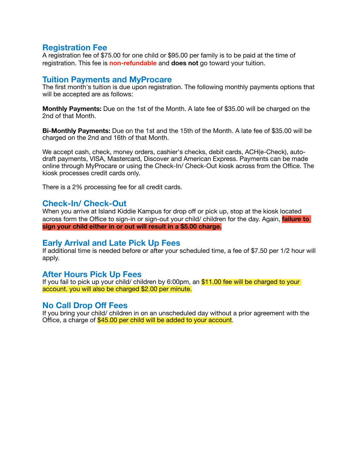# **Registration Fee**

A registration fee of \$75.00 for one child or \$95.00 per family is to be paid at the time of registration. This fee is **non-refundable** and **does not** go toward your tuition.

### **Tuition Payments and MyProcare**

The first month's tuition is due upon registration. The following monthly payments options that will be accepted are as follows:

**Monthly Payments:** Due on the 1st of the Month. A late fee of \$35.00 will be charged on the 2nd of that Month.

**Bi-Monthly Payments:** Due on the 1st and the 15th of the Month. A late fee of \$35.00 will be charged on the 2nd and 16th of that Month.

We accept cash, check, money orders, cashier's checks, debit cards, ACH(e-Check), autodraft payments, VISA, Mastercard, Discover and American Express. Payments can be made online through MyProcare or using the Check-In/ Check-Out kiosk across from the Office. The kiosk processes credit cards only.

There is a 2% processing fee for all credit cards.

#### **Check-In/ Check-Out**

When you arrive at Island Kiddie Kampus for drop off or pick up, stop at the kiosk located across form the Office to sign-in or sign-out your child/ children for the day. Again, **failure to sign your child either in or out will result in a \$5.00 charge.**

#### **Early Arrival and Late Pick Up Fees**

If additional time is needed before or after your scheduled time, a fee of \$7.50 per 1/2 hour will apply.

### **After Hours Pick Up Fees**

If you fail to pick up your child/ children by 6:00pm, an \$11.00 fee will be charged to your account. you will also be charged \$2.00 per minute.

### **No Call Drop Off Fees**

If you bring your child/ children in on an unscheduled day without a prior agreement with the Office, a charge of \$45.00 per child will be added to your account.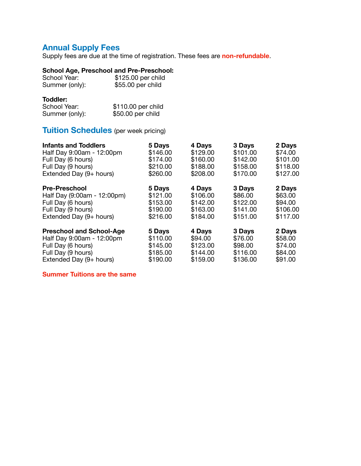# **Annual Supply Fees**

Supply fees are due at the time of registration. These fees are **non-refundable**.

## **School Age, Preschool and Pre-Preschool:**

| School Year:   | \$125.00 per child |
|----------------|--------------------|
| Summer (only): | \$55.00 per child  |

#### **Toddler:**

| School Year:   | \$110.00 per child |  |  |
|----------------|--------------------|--|--|
| Summer (only): | \$50.00 per child  |  |  |

# **Tuition Schedules** (per week pricing)

| <b>Infants and Toddlers</b>     | 5 Days   | 4 Days   | 3 Days   | 2 Days   |
|---------------------------------|----------|----------|----------|----------|
| Half Day 9:00am - 12:00pm       | \$146.00 | \$129.00 | \$101.00 | \$74.00  |
| Full Day (6 hours)              | \$174.00 | \$160.00 | \$142.00 | \$101.00 |
| Full Day (9 hours)              | \$210.00 | \$188.00 | \$158.00 | \$118.00 |
| Extended Day (9+ hours)         | \$260.00 | \$208.00 | \$170.00 | \$127.00 |
| <b>Pre-Preschool</b>            | 5 Days   | 4 Days   | 3 Days   | 2 Days   |
| Half Day (9:00am - 12:00pm)     | \$121.00 | \$106.00 | \$86.00  | \$63.00  |
| Full Day (6 hours)              | \$153.00 | \$142.00 | \$122.00 | \$94.00  |
| Full Day (9 hours)              | \$190.00 | \$163.00 | \$141.00 | \$106.00 |
| Extended Day (9+ hours)         | \$216.00 | \$184.00 | \$151.00 | \$117.00 |
| <b>Preschool and School-Age</b> | 5 Days   | 4 Days   | 3 Days   | 2 Days   |
| Half Day 9:00am - 12:00pm       | \$110.00 | \$94.00  | \$76.00  | \$58.00  |
| Full Day (6 hours)              | \$145.00 | \$123.00 | \$98.00  | \$74.00  |
| Full Day (9 hours)              | \$185.00 | \$144.00 | \$116.00 | \$84.00  |
| Extended Day (9+ hours)         | \$190.00 | \$159.00 | \$136.00 | \$91.00  |

**Summer Tuitions are the same**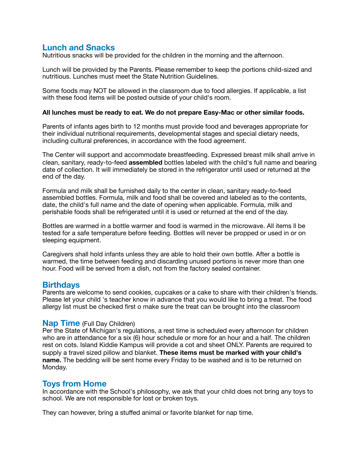# **Lunch and Snacks**

Nutritious snacks will be provided for the children in the morning and the afternoon.

Lunch will be provided by the Parents. Please remember to keep the portions child-sized and nutritious. Lunches must meet the State Nutrition Guidelines.

Some foods may NOT be allowed in the classroom due to food allergies. If applicable, a list with these food items will be posted outside of your child's room.

#### **All lunches must be ready to eat. We do not prepare Easy-Mac or other similar foods.**

Parents of infants ages birth to 12 months must provide food and beverages appropriate for their individual nutritional requirements, developmental stages and special dietary needs, including cultural preferences, in accordance with the food agreement.

The Center will support and accommodate breastfeeding. Expressed breast milk shall arrive in clean, sanitary, ready-to-feed **assembled** bottles labeled with the child's full name and bearing date of collection. It will immediately be stored in the refrigerator until used or returned at the end of the day.

Formula and milk shall be furnished daily to the center in clean, sanitary ready-to-feed assembled bottles. Formula, milk and food shall be covered and labeled as to the contents, date, the child's full name and the date of opening when applicable. Formula, milk and perishable foods shall be refrigerated until it is used or returned at the end of the day.

Bottles are warmed in a bottle warmer and food is warmed in the microwave. All items ll be tested for a safe temperature before feeding. Bottles will never be propped or used in or on sleeping equipment.

Caregivers shall hold infants unless they are able to hold their own bottle. After a bottle is warmed, the time between feeding and discarding unused portions is never more than one hour. Food will be served from a dish, not from the factory sealed container.

### **Birthdays**

Parents are welcome to send cookies, cupcakes or a cake to share with their children's friends. Please let your child 's teacher know in advance that you would like to bring a treat. The food allergy list must be checked first o make sure the treat can be brought into the classroom

#### **Nap Time** (Full Day Children)

Per the State of Michigan's regulations, a rest time is scheduled every afternoon for children who are in attendance for a six (6) hour schedule or more for an hour and a half. The children rest on cots. Island Kiddie Kampus will provide a cot and sheet ONLY. Parents are required to supply a travel sized pillow and blanket. **These items must be marked with your child's name.** The bedding will be sent home every Friday to be washed and is to be returned on Monday.

### **Toys from Home**

In accordance with the School's philosophy, we ask that your child does not bring any toys to school. We are not responsible for lost or broken toys.

They can however, bring a stuffed animal or favorite blanket for nap time.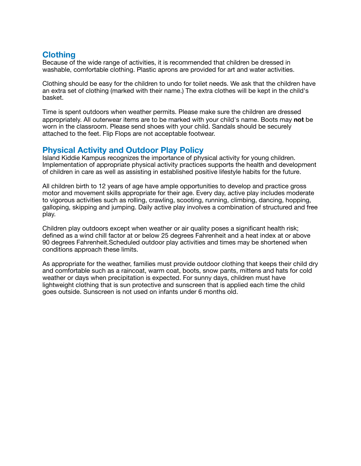# **Clothing**

Because of the wide range of activities, it is recommended that children be dressed in washable, comfortable clothing. Plastic aprons are provided for art and water activities.

Clothing should be easy for the children to undo for toilet needs. We ask that the children have an extra set of clothing (marked with their name.) The extra clothes will be kept in the child's basket.

Time is spent outdoors when weather permits. Please make sure the children are dressed appropriately. All outerwear items are to be marked with your child's name. Boots may **not** be worn in the classroom. Please send shoes with your child. Sandals should be securely attached to the feet. Flip Flops are not acceptable footwear.

# **Physical Activity and Outdoor Play Policy**

Island Kiddie Kampus recognizes the importance of physical activity for young children. Implementation of appropriate physical activity practices supports the health and development of children in care as well as assisting in established positive lifestyle habits for the future.

All children birth to 12 years of age have ample opportunities to develop and practice gross motor and movement skills appropriate for their age. Every day, active play includes moderate to vigorous activities such as rolling, crawling, scooting, running, climbing, dancing, hopping, galloping, skipping and jumping. Daily active play involves a combination of structured and free play.

Children play outdoors except when weather or air quality poses a significant health risk; defined as a wind chill factor at or below 25 degrees Fahrenheit and a heat index at or above 90 degrees Fahrenheit.Scheduled outdoor play activities and times may be shortened when conditions approach these limits.

As appropriate for the weather, families must provide outdoor clothing that keeps their child dry and comfortable such as a raincoat, warm coat, boots, snow pants, mittens and hats for cold weather or days when precipitation is expected. For sunny days, children must have lightweight clothing that is sun protective and sunscreen that is applied each time the child goes outside. Sunscreen is not used on infants under 6 months old.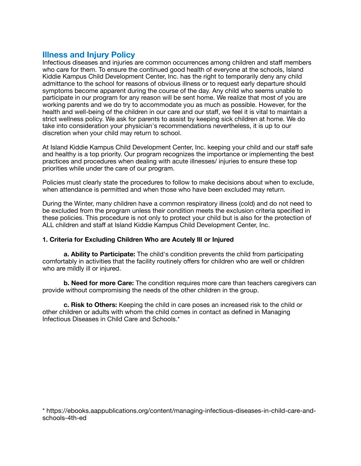# **Illness and Injury Policy**

Infectious diseases and injuries are common occurrences among children and staff members who care for them. To ensure the continued good health of everyone at the schools, Island Kiddie Kampus Child Development Center, Inc. has the right to temporarily deny any child admittance to the school for reasons of obvious illness or to request early departure should symptoms become apparent during the course of the day. Any child who seems unable to participate in our program for any reason will be sent home. We realize that most of you are working parents and we do try to accommodate you as much as possible. However, for the health and well-being of the children in our care and our staff, we feel it is vital to maintain a strict wellness policy. We ask for parents to assist by keeping sick children at home. We do take into consideration your physician's recommendations nevertheless, it is up to our discretion when your child may return to school.

At Island Kiddie Kampus Child Development Center, Inc. keeping your child and our staff safe and healthy is a top priority. Our program recognizes the importance or implementing the best practices and procedures when dealing with acute illnesses/ injuries to ensure these top priorities while under the care of our program.

Policies must clearly state the procedures to follow to make decisions about when to exclude, when attendance is permitted and when those who have been excluded may return.

During the Winter, many children have a common respiratory illness (cold) and do not need to be excluded from the program unless their condition meets the exclusion criteria specified in these policies. This procedure is not only to protect your child but is also for the protection of ALL children and staff at Island Kiddie Kampus Child Development Center, Inc.

#### **1. Criteria for Excluding Children Who are Acutely Ill or Injured**

**a. Ability to Participate:** The child's condition prevents the child from participating comfortably in activities that the facility routinely offers for children who are well or children who are mildly ill or injured.

**b. Need for more Care:** The condition requires more care than teachers caregivers can provide without compromising the needs of the other children in the group.

**c. Risk to Others:** Keeping the child in care poses an increased risk to the child or other children or adults with whom the child comes in contact as defined in Managing Infectious Diseases in Child Care and Schools.\*

[\\* https://ebooks.aappublications.org/content/managing-infectious-diseases-in-child-care-and](https://ebooks.aappublications.org/content/managing-infectious-diseases-in-child-care-and-schools-4th-ed)[schools-4th-ed](https://ebooks.aappublications.org/content/managing-infectious-diseases-in-child-care-and-schools-4th-ed)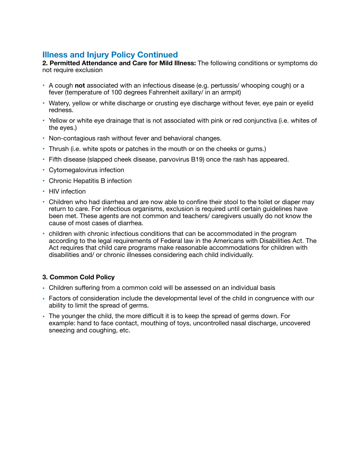# **Illness and Injury Policy Continued**

**2. Permitted Attendance and Care for Mild Illness:** The following conditions or symptoms do not require exclusion

- A cough **not** associated with an infectious disease (e.g. pertussis/ whooping cough) or a fever (temperature of 100 degrees Fahrenheit axillary/ in an armpit)
- Watery, yellow or white discharge or crusting eye discharge without fever, eye pain or eyelid redness.
- Yellow or white eye drainage that is not associated with pink or red conjunctiva (i.e. whites of the eyes.)
- Non-contagious rash without fever and behavioral changes.
- Thrush (i.e. white spots or patches in the mouth or on the cheeks or gums.)
- Fifth disease (slapped cheek disease, parvovirus B19) once the rash has appeared.
- Cytomegalovirus infection
- Chronic Hepatitis B infection
- HIV infection
- Children who had diarrhea and are now able to confine their stool to the toilet or diaper may return to care. For infectious organisms, exclusion is required until certain guidelines have been met. These agents are not common and teachers/ caregivers usually do not know the cause of most cases of diarrhea.
- children with chronic infectious conditions that can be accommodated in the program according to the legal requirements of Federal law in the Americans with Disabilities Act. The Act requires that child care programs make reasonable accommodations for children with disabilities and/ or chronic illnesses considering each child individually.

#### **3. Common Cold Policy**

- **•** Children suffering from a common cold will be assessed on an individual basis
- **•** Factors of consideration include the developmental level of the child in congruence with our ability to limit the spread of germs.
- **•** The younger the child, the more difficult it is to keep the spread of germs down. For example: hand to face contact, mouthing of toys, uncontrolled nasal discharge, uncovered sneezing and coughing, etc.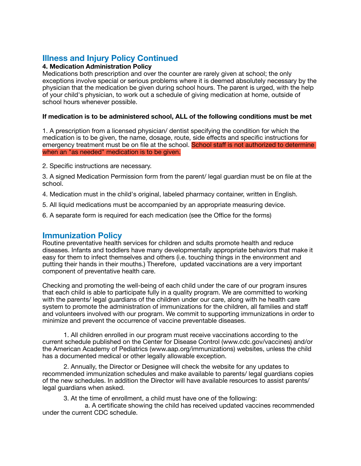# **Illness and Injury Policy Continued**

#### **4. Medication Administration Policy**

Medications both prescription and over the counter are rarely given at school; the only exceptions involve special or serious problems where it is deemed absolutely necessary by the physician that the medication be given during school hours. The parent is urged, with the help of your child's physician, to work out a schedule of giving medication at home, outside of school hours whenever possible.

#### **If medication is to be administered school, ALL of the following conditions must be met**

1. A prescription from a licensed physician/ dentist specifying the condition for which the medication is to be given, the name, dosage, route, side effects and specific instructions for emergency treatment must be on file at the school. School staff is not authorized to determine when an "as needed" medication is to be given.

2. Specific instructions are necessary.

3. A signed Medication Permission form from the parent/ legal guardian must be on file at the school.

- 4. Medication must in the child's original, labeled pharmacy container, written in English.
- 5. All liquid medications must be accompanied by an appropriate measuring device.
- 6. A separate form is required for each medication (see the Office for the forms)

### **Immunization Policy**

Routine preventative health services for children and sdults promote health and reduce diseases. Infants and toddlers have many developmentally appropriate behaviors that make it easy for them to infect themselves and others (i.e. touching things in the environment and putting their hands in their mouths.) Therefore, updated vaccinations are a very important component of preventative health care.

Checking and promoting the well-being of each child under the care of our program insures that each child is able to participate fully in a quality program. We are committed to working with the parents/ legal guardians of the children under our care, along with he health care system to promote the administration of immunizations for the children, all families and staff and volunteers involved with our program. We commit to supporting immunizations in order to minimize and prevent the occurrence of vaccine preventable diseases.

1. All children enrolled in our program must receive vaccinations according to the current schedule published on the Center for Disease Control ([www.cdc.gov/](http://www.cdc.gov/)vaccines) and/or the American Academy of Pediatrics ([www.aap.org/immunizations\)](http://www.aap.org/immunizations)) websites, unless the child has a documented medical or other legally allowable exception.

2. Annually, the Director or Designee will check the website for any updates to recommended immunization schedules and make available to parents/ legal guardians copies of the new schedules. In addition the Director will have available resources to assist parents/ legal guardians when asked.

3. At the time of enrollment, a child must have one of the following:

 a. A certificate showing the child has received updated vaccines recommended under the current CDC schedule.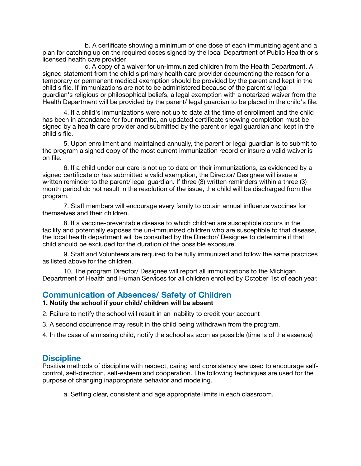b. A certificate showing a minimum of one dose of each immunizing agent and a plan for catching up on the required doses signed by the local Department of Public Health or s licensed health care provider.

 c. A copy of a waiver for un-immunized children from the Health Department. A signed statement from the child's primary health care provider documenting the reason for a temporary or permanent medical exemption should be provided by the parent and kept in the child's file. If immunizations are not to be administered because of the parent's/ legal guardian's religious or philosophical beliefs, a legal exemption with a notarized waiver from the Health Department will be provided by the parent/ legal guardian to be placed in the child's file.

4. If a child's immunizations were not up to date at the time of enrollment and the child has been in attendance for four months, an updated certificate showing completion must be signed by a health care provider and submitted by the parent or legal guardian and kept in the child's file.

5. Upon enrollment and maintained annually, the parent or legal guardian is to submit to the program a signed copy of the most current immunization record or insure a valid waiver is on file.

6. If a child under our care is not up to date on their immunizations, as evidenced by a signed certificate or has submitted a valid exemption, the Director/ Designee will issue a written reminder to the parent/ legal guardian. If three (3) written reminders within a three (3) month period do not result in the resolution of the issue, the child will be discharged from the program.

7. Staff members will encourage every family to obtain annual influenza vaccines for themselves and their children.

8. If a vaccine-preventable disease to which children are susceptible occurs in the facility and potentially exposes the un-immunized children who are susceptible to that disease, the local health department will be consulted by the Director/ Designee to determine if that child should be excluded for the duration of the possible exposure.

9. Staff and Volunteers are required to be fully immunized and follow the same practices as listed above for the children.

10. The program Director/ Designee will report all immunizations to the Michigan Department of Health and Human Services for all children enrolled by October 1st of each year.

# **Communication of Absences/ Safety of Children**

#### **1. Notify the school if your child/ children will be absent**

- 2. Failure to notify the school will result in an inability to credit your account
- 3. A second occurrence may result in the child being withdrawn from the program.
- 4. In the case of a missing child, notify the school as soon as possible (time is of the essence)

# **Discipline**

Positive methods of discipline with respect, caring and consistency are used to encourage selfcontrol, self-direction, self-esteem and cooperation. The following techniques are used for the purpose of changing inappropriate behavior and modeling.

a. Setting clear, consistent and age appropriate limits in each classroom.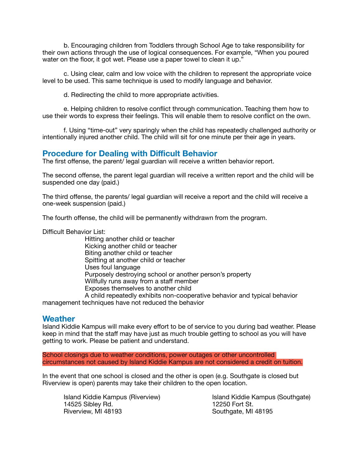b. Encouraging children from Toddlers through School Age to take responsibility for their own actions through the use of logical consequences. For example, "When you poured water on the floor, it got wet. Please use a paper towel to clean it up."

c. Using clear, calm and low voice with the children to represent the appropriate voice level to be used. This same technique is used to modify language and behavior.

d. Redirecting the child to more appropriate activities.

e. Helping children to resolve conflict through communication. Teaching them how to use their words to express their feelings. This will enable them to resolve conflict on the own.

f. Using "time-out" very sparingly when the child has repeatedly challenged authority or intentionally injured another child. The child will sit for one minute per their age in years.

### **Procedure for Dealing with Difficult Behavior**

The first offense, the parent/ legal guardian will receive a written behavior report.

The second offense, the parent legal guardian will receive a written report and the child will be suspended one day (paid.)

The third offense, the parents/ legal guardian will receive a report and the child will receive a one-week suspension (paid.)

The fourth offense, the child will be permanently withdrawn from the program.

Difficult Behavior List:

 Hitting another child or teacher Kicking another child or teacher Biting another child or teacher Spitting at another child or teacher Uses foul language Purposely destroying school or another person's property Willfully runs away from a staff member Exposes themselves to another child A child repeatedly exhibits non-cooperative behavior and typical behavior 

management techniques have not reduced the behavior

#### **Weather**

Island Kiddie Kampus will make every effort to be of service to you during bad weather. Please keep in mind that the staff may have just as much trouble getting to school as you will have getting to work. Please be patient and understand.

School closings due to weather conditions, power outages or other uncontrolled circumstances not caused by Island Kiddie Kampus are not considered a credit on tuition.

In the event that one school is closed and the other is open (e.g. Southgate is closed but Riverview is open) parents may take their children to the open location.

14525 Sibley Rd.<br>Riverview, MI 48193

Island Kiddie Kampus (Riverview) Island Kiddie Kampus (Southgate) Southgate, MI 48195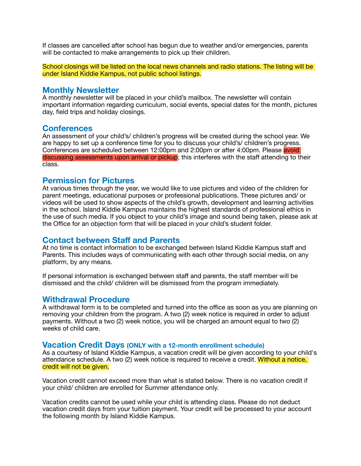If classes are cancelled after school has begun due to weather and/or emergencies, parents will be contacted to make arrangements to pick up their children.

School closings will be listed on the local news channels and radio stations. The listing will be under Island Kiddie Kampus, not public school listings.

#### **Monthly Newsletter**

A monthly newsletter will be placed in your child's mailbox. The newsletter will contain important information regarding curriculum, social events, special dates for the month, pictures day, field trips and holiday closings.

#### **Conferences**

An assessment of your child's/ children's progress will be created during the school year. We are happy to set up a conference time for you to discuss your child's/ children's progress. Conferences are scheduled between 12:00pm and 2:00pm or after 4:00pm. Please avoid discussing assessments upon arrival or pickup; this interferes with the staff attending to their class.

## **Permission for Pictures**

At various times through the year, we would like to use pictures and video of the children for parent meetings, educational purposes or professional publications. These pictures and/ or videos will be used to show aspects of the child's growth, development and learning activities in the school. Island Kiddie Kampus maintains the highest standards of professional ethics in the use of such media. If you object to your child's image and sound being taken, please ask at the Office for an objection form that will be placed in your child's student folder.

# **Contact between Staff and Parents**

At no time is contact information to be exchanged between Island Kiddie Kampus staff and Parents. This includes ways of communicating with each other through social media, on any platform, by any means.

If personal information is exchanged between staff and parents, the staff member will be dismissed and the child/ children will be dismissed from the program immediately.

### **Withdrawal Procedure**

A withdrawal form is to be completed and turned into the office as soon as you are planning on removing your children from the program. A two (2) week notice is required in order to adjust payments. Without a two (2) week notice, you will be charged an amount equal to two (2) weeks of child care.

#### **Vacation Credit Days (ONLY with a 12-month enrollment schedule)**

As a courtesy of Island Kiddie Kampus, a vacation credit will be given according to your child's attendance schedule. A two (2) week notice is required to receive a credit. Without a notice, credit will not be given.

Vacation credit cannot exceed more than what is stated below. There is no vacation credit if your child/ children are enrolled for Summer attendance only.

Vacation credits cannot be used while your child is attending class. Please do not deduct vacation credit days from your tuition payment. Your credit will be processed to your account the following month by Island Kiddie Kampus.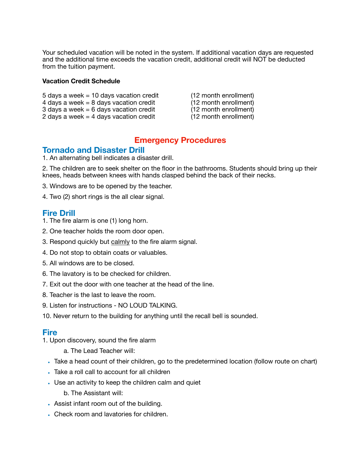Your scheduled vacation will be noted in the system. If additional vacation days are requested and the additional time exceeds the vacation credit, additional credit will NOT be deducted from the tuition payment.

#### **Vacation Credit Schedule**

- 5 days a week = 10 days vacation credit  $(12 \text{ month enrollment})$ <br>4 days a week = 8 days vacation credit  $(12 \text{ month enrichment})$
- 4 days a week = 8 days vacation credit  $\begin{array}{ccc} 4 & \text{days} & \text{12} \text{ month} & \text{enrollment} \\ 3 & \text{days} & a \text{ week} = 6 & \text{days} & \text{vacation} & \text{credit} \end{array}$
- 3 days a week = 6 days vacation credit  $(12 \text{ month enrollment})$ <br>
2 days a week = 4 days vacation credit  $(12 \text{ month enrichment})$ 2 days a week  $=$  4 days vacation credit
- 
- -

# **Emergency Procedures**

# **Tornado and Disaster Drill**

1. An alternating bell indicates a disaster drill.

2. The children are to seek shelter on the floor in the bathrooms. Students should bring up their knees, heads between knees with hands clasped behind the back of their necks.

3. Windows are to be opened by the teacher.

4. Two (2) short rings is the all clear signal.

## **Fire Drill**

- 1. The fire alarm is one (1) long horn.
- 2. One teacher holds the room door open.
- 3. Respond quickly but calmly to the fire alarm signal.
- 4. Do not stop to obtain coats or valuables.
- 5. All windows are to be closed.
- 6. The lavatory is to be checked for children.
- 7. Exit out the door with one teacher at the head of the line.
- 8. Teacher is the last to leave the room.
- 9. Listen for instructions NO LOUD TALKING.
- 10. Never return to the building for anything until the recall bell is sounded.

### **Fire**

- 1. Upon discovery, sound the fire alarm
	- a. The Lead Teacher will:
	- **•** Take a head count of their children, go to the predetermined location (follow route on chart)
	- **•** Take a roll call to account for all children
	- **•** Use an activity to keep the children calm and quiet
		- b. The Assistant will:
	- **•** Assist infant room out of the building.
	- **•** Check room and lavatories for children.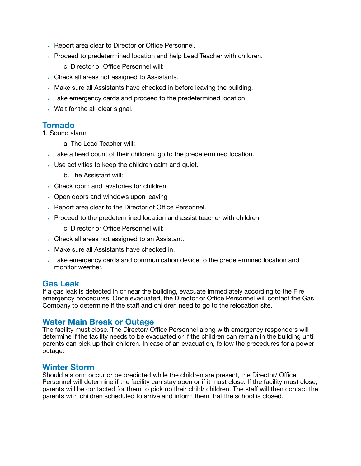- **•** Report area clear to Director or Office Personnel.
- **•** Proceed to predetermined location and help Lead Teacher with children.

c. Director or Office Personnel will:

- **•** Check all areas not assigned to Assistants.
- **•** Make sure all Assistants have checked in before leaving the building.
- **•** Take emergency cards and proceed to the predetermined location.
- **•** Wait for the all-clear signal.

# **Tornado**

1. Sound alarm

- a. The Lead Teacher will:
- **•** Take a head count of their children, go to the predetermined location.
- **•** Use activities to keep the children calm and quiet.
	- b. The Assistant will:
- **•** Check room and lavatories for children
- **•** Open doors and windows upon leaving
- **•** Report area clear to the Director of Office Personnel.
- **•** Proceed to the predetermined location and assist teacher with children.
	- c. Director or Office Personnel will:
- **•** Check all areas not assigned to an Assistant.
- **•** Make sure all Assistants have checked in.
- **•** Take emergency cards and communication device to the predetermined location and monitor weather.

### **Gas Leak**

If a gas leak is detected in or near the building, evacuate immediately according to the Fire emergency procedures. Once evacuated, the Director or Office Personnel will contact the Gas Company to determine if the staff and children need to go to the relocation site.

# **Water Main Break or Outage**

The facility must close. The Director/ Office Personnel along with emergency responders will determine if the facility needs to be evacuated or if the children can remain in the building until parents can pick up their children. In case of an evacuation, follow the procedures for a power outage.

# **Winter Storm**

Should a storm occur or be predicted while the children are present, the Director/ Office Personnel will determine if the facility can stay open or if it must close. If the facility must close, parents will be contacted for them to pick up their child/ children. The staff will then contact the parents with children scheduled to arrive and inform them that the school is closed.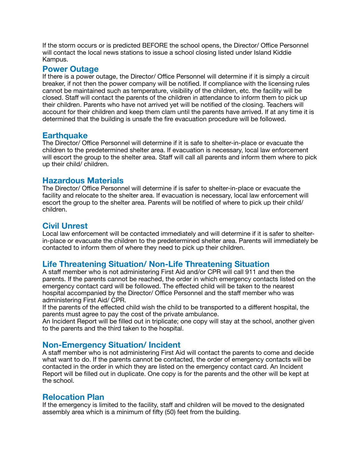If the storm occurs or is predicted BEFORE the school opens, the Director/ Office Personnel will contact the local news stations to issue a school closing listed under Island Kiddie Kampus.

### **Power Outage**

If there is a power outage, the Director/ Office Personnel will determine if it is simply a circuit breaker, if not then the power company will be notified. If compliance with the licensing rules cannot be maintained such as temperature, visibility of the children, etc. the facility will be closed. Staff will contact the parents of the children in attendance to inform them to pick up their children. Parents who have not arrived yet will be notified of the closing. Teachers will account for their children and keep them clam until the parents have arrived. If at any time it is determined that the building is unsafe the fire evacuation procedure will be followed.

### **Earthquake**

The Director/ Office Personnel will determine if it is safe to shelter-in-place or evacuate the children to the predetermined shelter area. If evacuation is necessary, local law enforcement will escort the group to the shelter area. Staff will call all parents and inform them where to pick up their child/ children.

# **Hazardous Materials**

The Director/ Office Personnel will determine if is safer to shelter-in-place or evacuate the facility and relocate to the shelter area. If evacuation is necessary, local law enforcement will escort the group to the shelter area. Parents will be notified of where to pick up their child/ children.

# **Civil Unrest**

Local law enforcement will be contacted immediately and will determine if it is safer to shelterin-place or evacuate the children to the predetermined shelter area. Parents will immediately be contacted to inform them of where they need to pick up their children.

# **Life Threatening Situation/ Non-Life Threatening Situation**

A staff member who is not administering First Aid and/or CPR will call 911 and then the parents. If the parents cannot be reached, the order in which emergency contacts listed on the emergency contact card will be followed. The effected child will be taken to the nearest hospital accompanied by the Director/ Office Personnel and the staff member who was administering First Aid/ CPR.

If the parents of the effected child wish the child to be transported to a different hospital, the parents must agree to pay the cost of the private ambulance.

An Incident Report will be filled out in triplicate; one copy will stay at the school, another given to the parents and the third taken to the hospital.

# **Non-Emergency Situation/ Incident**

A staff member who is not administering First Aid will contact the parents to come and decide what want to do. If the parents cannot be contacted, the order of emergency contacts will be contacted in the order in which they are listed on the emergency contact card. An Incident Report will be filled out in duplicate. One copy is for the parents and the other will be kept at the school.

# **Relocation Plan**

If the emergency is limited to the facility, staff and children will be moved to the designated assembly area which is a minimum of fifty (50) feet from the building.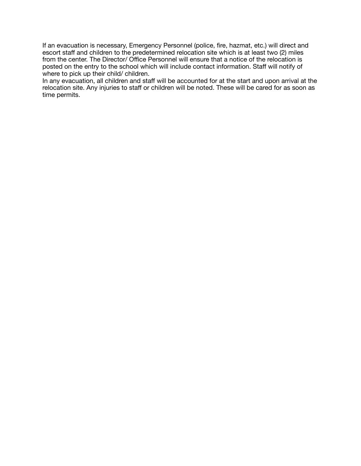If an evacuation is necessary, Emergency Personnel (police, fire, hazmat, etc.) will direct and escort staff and children to the predetermined relocation site which is at least two (2) miles from the center. The Director/ Office Personnel will ensure that a notice of the relocation is posted on the entry to the school which will include contact information. Staff will notify of where to pick up their child/ children.

In any evacuation, all children and staff will be accounted for at the start and upon arrival at the relocation site. Any injuries to staff or children will be noted. These will be cared for as soon as time permits.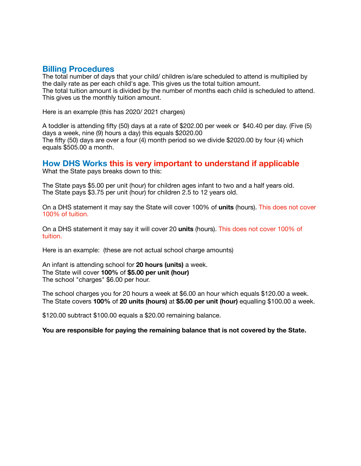### **Billing Procedures**

The total number of days that your child/ children is/are scheduled to attend is multiplied by the daily rate as per each child's age. This gives us the total tuition amount. The total tuition amount is divided by the number of months each child is scheduled to attend. This gives us the monthly tuition amount.

Here is an example (this has 2020/ 2021 charges)

A toddler is attending fifty (50) days at a rate of \$202.00 per week or \$40.40 per day. (Five (5) days a week, nine (9) hours a day) this equals \$2020.00 The fifty (50) days are over a four (4) month period so we divide \$2020.00 by four (4) which equals \$505.00 a month.

# **How DHS Works this is very important to understand if applicable**

What the State pays breaks down to this:

The State pays \$5.00 per unit (hour) for children ages infant to two and a half years old. The State pays \$3.75 per unit (hour) for children 2.5 to 12 years old.

On a DHS statement it may say the State will cover 100% of **units** (hours). This does not cover 100% of tuition.

On a DHS statement it may say it will cover 20 **units** (hours). This does not cover 100% of tuition.

Here is an example: (these are not actual school charge amounts)

An infant is attending school for **20 hours (units)** a week. The State will cover **100%** of **\$5.00 per unit (hour)** The school "charges" \$6.00 per hour.

The school charges you for 20 hours a week at \$6.00 an hour which equals \$120.00 a week. The State covers **100%** of **20 units (hours)** at **\$5.00 per unit (hour)** equalling \$100.00 a week.

\$120.00 subtract \$100.00 equals a \$20.00 remaining balance.

#### **You are responsible for paying the remaining balance that is not covered by the State.**